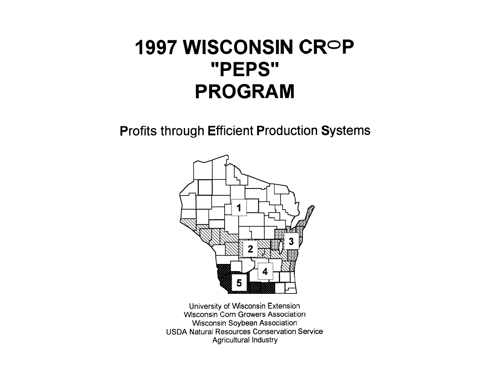# 1997 WISCONSIN CROP "PEPS" **PROGRAM**

**Profits through Efficient Production Systems** 



University of Wisconsin Extension **Wisconsin Corn Growers Association Wisconsin Soybean Association USDA Natural Resources Conservation Service Agricultural Industry**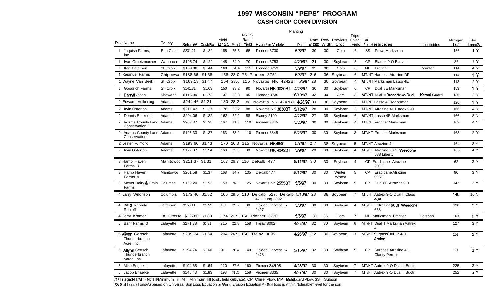#### **1997 WISCONSIN "PEPS" PROGRAM CASH CROP CORN DIVISION**

|                                                  |                           |                  |        |                      |          | <b>NRCS</b>    |                                                              | Planting   |    |    |                                       |                    |           |                                              |                     |                   |                 |
|--------------------------------------------------|---------------------------|------------------|--------|----------------------|----------|----------------|--------------------------------------------------------------|------------|----|----|---------------------------------------|--------------------|-----------|----------------------------------------------|---------------------|-------------------|-----------------|
| Dist. Name                                       | County                    | Return/A Cost/Bu |        | Yield<br>@15.5 Moist |          | Rated<br>Yield | <b>Hybrid or Variety</b>                                     | Date       |    |    | Rate Row Previous<br>x1000 Width Crop | Trips<br>Over Till |           | Field /1/ Herbicides                         | Insecticides        | Nitrogen<br>lbs/a | Soil<br>_oss/2/ |
| Jaquish Farms,<br>inc.                           | Eau Claire                | \$231.21         | \$1.32 | 185                  | 25.6     | 65             | Pioneer 3730                                                 | 5/6/97     | 30 | 30 | Corn                                  | 6                  | SS        | Prowl Marksman                               |                     | 156               | 1Y              |
| Ivan Gruetzmacher                                | Wauoaca                   | \$195.74         | \$1.22 | 145                  | 24.0     | 70             | Pioneer 3753                                                 | 4/29/97    | 31 | 30 | Soybean                               | 5                  | <b>CP</b> | Bladex 9-O Banvel                            |                     | 86                | 1 <sup>2</sup>  |
| Ken Peterson                                     | St. Croix                 | \$189.86         | \$1.44 | 168                  | 24.4     | 115            | Pioneer 3753                                                 | 5/9/97     | 32 | 30 | Corn                                  | 6                  | <b>MP</b> | Frontier                                     | Counter             | 114               | 4 Y             |
| 1 Rasmus Farms                                   | Chippewa                  | \$188.66         | \$1.38 |                      |          |                | 158 23.0 75 Pioneer 3751                                     | 5/3/97     | 26 |    | 36 Soybean                            | 6                  |           | MT/NT Harness Atrazine DF                    |                     | 114               | 1 <sub>Y</sub>  |
| 1 Wayne Van Beek                                 | St. Croix                 | \$169.13 \$1.47  |        |                      |          |                | 154 23.6 115 Novartis NK 4242BT 5/5/97 28                    |            |    |    | 30 Soybean                            | $\overline{4}$     |           | <b>MT/NT</b> Marksman Lasso 4E               |                     | 113               | 2 Y             |
| <b>Goodrich Farms</b>                            | St. Croix                 | \$141.31         | \$1.63 | 150                  | 23.2     | 90             | Novartis NK 3030BT                                           | 4/28/97    | 30 | 30 | Soybean                               | 6                  | <b>CP</b> | Dual 8E Marksman                             |                     | 153               | 1Y              |
| Darryll Olson                                    | Shawano                   | \$116.99         | \$1.72 | 137                  | 32.8     | 95             | Pioneer 3730                                                 | 5/10/97    | 32 | 30 | Corn                                  | 3                  |           | MT/NT Dual II Broadstrike/Dual               | <b>Kernal Guard</b> | 136               | 2 Y             |
| 2 Edward Volkening                               | Adams                     | \$244.46 \$1.21  |        |                      | 180 28.2 |                | 88 Novartis NK 4242BT 4/28/97 30                             |            |    |    | 30 Soybean                            | 3                  |           | MT/NT Lasso 4E Marksman                      |                     | 126               | 1 Y             |
| 2 Irvin Osterloh                                 | Adams                     | \$211.42         | \$1.37 | 176                  | 23.2     | 88             | Novartis NK 3030BT                                           | 5/12/97    | 28 | 30 | Soybean                               | 3                  |           | MT/NT Atrazine 4L Bladex 9-O                 |                     | 166               | 4 Y             |
| 2 Dennis Erickson                                | Adams                     | \$204.06         | \$1.32 | 163                  | 22.2     | 88             | Blaney 2100                                                  | 4/22/97    | 27 | 38 | Soybean                               | 6                  |           | MT/NT Lasso 4E Marksman                      |                     | 166               | 8 N             |
| 2 Adams County Land Adams<br>Conservation        |                           | \$203.37         | \$1.35 | 167                  | 21.8     | 110            | Pioneer 3845                                                 | 5/23/97    | 30 | 30 | Soybean                               | $\overline{4}$     |           | <b>MT/NT</b> Frontier Marksman               |                     | 163               | 4 N             |
| 2 Adams County Land Adams<br>Conservation        |                           | \$195.33         | \$1.37 | 163                  | 23.2     | 110            | Pioneer 3845                                                 | 5/23/97    | 30 | 30 | Soybean                               | $\mathbf{3}$       |           | MT/NT Frontier Marksman                      |                     | 163               | 2 Y             |
| 2 Lester F. York                                 | Adams                     | \$193.60         | \$1.43 | 170                  |          |                | 26.3 115 Novartis NK4640                                     | 5/7/97     | 27 |    | 38 Soybean                            | 5                  |           | MT/NT Atrazine 4L                            |                     | 164               | 3 Y             |
| 2 Irvin Ostertoh                                 | Adams                     | \$172.87         | \$1.54 | 168                  | 22.3     | 88             | Novartis NK 4242BT                                           | 5/9/97     | 28 | 30 | Soybean                               | $\overline{4}$     |           | MT/NT Atrazine 90DF Weedone<br>638 Liberty   |                     | 166               | 4 Y             |
| 3 Hamp Haven<br>Farms 3                          | Manitowoc \$211.37 \$1.31 |                  |        |                      |          |                | 167 26.7 110 DeKalb 477                                      | 5/11/97 30 |    | 30 | Soybean                               | $\overline{4}$     | CP.       | Eradicane Atrazine<br>90DF                   |                     | 62                | 3 Y             |
| 3 Hamp Haven<br>Farms 4                          | Manitowoc                 | \$201.58         | \$1.37 | 168                  | 24.7     | 135            | DeKalb477                                                    | 5/12/97    | 30 | 30 | Winter<br>Wheat                       | 5                  | <b>CP</b> | Eradicane Atrazine<br>90DF                   |                     | 96                | 3 Y             |
| 3 Meyer Dairy & Grain Calumet<br>Farms           |                           | \$159.20         | \$1.53 | 153                  | 26.1     | 125            | Novartis NK 2555BT                                           | 5/6/97     | 30 | 30 | Soybean                               | 5                  | <b>CP</b> | Dual 8E Atrazine 9.0                         |                     | 142               | 2 Y             |
| 4 Larry Wilkinson                                | Columbia                  | \$172.40         | \$1.52 |                      |          |                | 165 29.5 110 DeKalb 527, DeKalb 5/10/97 28<br>471, Jung 2392 |            |    |    | 38 Soybean                            | $\overline{7}$     |           | MT/NT Aatrex 9-O Dual II Class<br>40A        |                     | 140               | 10N             |
| 4 Bill & Rhonda<br>Rohloff                       | Jefferson                 | \$158.11         | \$1.59 | 161                  | 25.7     | 80             | Golden Harvest H-<br>2497                                    | 5/6/97     | 30 | 30 | Sovbean                               | $\overline{4}$     |           | MT/NT Extrazine 90DF Weedone<br>638          |                     | 136               | 3 Y             |
| 4 Jerry Kramer                                   | La Crosse \$12780         |                  | \$1.83 |                      |          |                | 174 21.9 150 Pioneer 3730                                    | 5/6/97     | 30 | 36 | Corn                                  | $\overline{7}$     | <b>MP</b> | Marksman Frontier                            | Lorsban             | 163               | 1 <sup>Y</sup>  |
| 5 Bahr Farms 3                                   | Lafayette                 | \$271.78         | \$1.31 | 215                  | 22.8     | 158            | Trelay 8002                                                  | 4/28/97    | 32 | 30 | Soybean                               | 6                  |           | MT/NT Dual II Marksman Aatrex<br>4L          |                     | 127               | 3Y              |
| 5 Allynn Gertsch<br>Thunderbranch<br>Acre. Inc.  | Lafayette                 | \$209.74         | \$1.54 | 204                  |          |                | 24.9 158 Trelay 9095                                         | 4/26/97    | 32 |    | 30 Sovbean                            | 3                  |           | MT/NT Surpass100 2.4-D<br>Amine              |                     | 151               | 2 Y             |
| 5 Allvnn Gertsch<br>Thunderbranch<br>Acres, Inc. | Lafayette                 | \$194.74         | \$1.60 | 201                  | 26.4     | 140            | Golden Harvest H-<br>2478                                    | 5/15/97    | 32 | 30 | Soybean                               | 5                  | <b>CP</b> | Surpass Atrazine 4L<br><b>Clarity Permit</b> |                     | 171               | 2Y              |
| 5 Mike Engelke                                   | Lafayette                 | \$194.65         | \$1.64 | 210                  | 27.6     | 160            | Pioneer 34R06                                                | 4/28/97    | 30 | 30 | Soybean                               |                    |           | MT/NT Aatrex 9-O Dual II Buctril             |                     | 225               | 3 Y             |
| 5 Jacob Enaelke                                  | Lafavette                 | \$145.43         | \$1.83 | 198                  | 31.O     | 158            | Pioneer 3335                                                 | 4/27/97    | 30 | 30 | Soybean                               | 7                  |           | MT/NT Aatrex 9-O Dual II Buctril             |                     | 252               | 5 Y             |

/I/ Tillage: NT/MT=No Till/Minimum Till, MT=Minimum Till (disk, field cultivate), CP=Chisel Plow, MP= Motdboard Plow, SS = Subsoil /2/ SoilLoss (Tons/A) based on Universal Soil Loss Equation or.Wind Erosion Equation Y=Soil toss is within "tolerable" level for the soil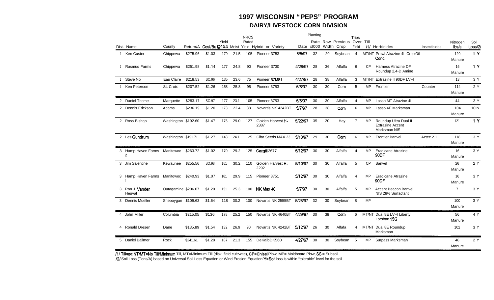### **1997 WISCONSIN "PEPS" PROGRAM DAIRY/LIVESTOCK CORN DIVISION**

|                                   |                     |          |        |       |      | <b>NRCS</b> |                                                     |         | Planting              |    |                             | Trips          |           |                                                                  |              |                   |                 |
|-----------------------------------|---------------------|----------|--------|-------|------|-------------|-----------------------------------------------------|---------|-----------------------|----|-----------------------------|----------------|-----------|------------------------------------------------------------------|--------------|-------------------|-----------------|
| Dist. Name                        | County              |          |        | Yield |      | Rated       | Return/A Cost/Bu@15.5 Moist Yield Hybrid or Variety |         | Date x1000 Width Crop |    | Rate Row Previous Over Till | Field          |           | /1/ Herbicides                                                   | Insecticides | Nitrogen<br>lbs/a | Soil<br>Loss/2/ |
| 1 Ken Custer                      | Chippewa            | \$275.96 | \$1.03 | 179   | 21.5 | 105         | Pioneer 3753                                        | 5/5/97  | 32                    | 20 | Soybean                     | $\overline{4}$ |           | MT/NT Prowl Atrazine 4L Crop Oil<br>Conc.                        |              | 120<br>Manure     | 1 Y             |
| Rasmus Farms                      | Chippewa            | \$251.98 | \$1.14 | 177   | 24.8 | 90          | Pioneer 3730                                        | 4/28/97 | 28                    | 36 | Alfalfa                     | 6              | <b>CP</b> | Harness Atrazine DF<br>Roundup 2,4-D Amine                       |              | 16<br>Manure      | 1Y              |
| <b>Steve Nix</b>                  | Eau Claire          | \$218.53 | SO.96  | 135   | 23.6 | 75          | Pioneer 37M81                                       | 4/27/97 | 28                    | 38 | Alfalfa                     | 3              |           | MT/NT Extrazine II 90DF LV-4                                     |              | 13                | 3 Y             |
| Ken Peterson                      | St. Croix           | \$207.52 | \$1.26 | 158   | 25.8 | 95          | Pioneer 3753                                        | 5/6/97  | 30                    | 30 | Corn                        | 5              | <b>MP</b> | Frontier                                                         | Counter      | 114<br>Manure     | 2Y              |
| 2 Daniel Thome                    | Marquette           | \$283.17 | SO.97  | 177   | 23.1 | 105         | Pioneer 3753                                        | 5/5/97  | 30                    | 30 | Alfalfa                     | $\overline{4}$ | MP.       | Lasso MT Atrazine 4L                                             |              | 44                | 3 Y             |
| 2 Dennis Erickson                 | Adams               | \$236.19 | \$1.20 | 173   | 22.4 | 88          | Novartis NK 4242BT                                  | 5/7/97  | 28                    | 38 | Corn                        | 6              | <b>MP</b> | Lasso 4E Marksman                                                |              | 104<br>Manure     | 10 <sub>N</sub> |
| 2 Ross Bishop                     | Washington \$192.60 |          | \$1.47 | 175   | 29.0 | 127         | Golden Harvest H-<br>2387                           | 5/22/97 | 35                    | 20 | Hay                         | $\overline{7}$ | <b>MP</b> | Roundup Ultra Dual II<br><b>Extrazine Accent</b><br>Marksman NIS |              | 121               | 1Y              |
| 2 Les Gundrum                     | Washington \$191.71 |          | \$1.27 | 148   | 24.1 | 125         | Ciba Seeds MAX 23                                   | 5/13/97 | 29                    | 30 | Corn                        | 6              | MP        | <b>Frontier Banvel</b>                                           | Aztec 2.1    | 118<br>Manure     | 3 Y             |
| 3 Hamp Haven Farms Manitowoc<br>2 |                     | \$263.72 | \$1.02 | 170   | 29.2 | 125         | Cargill 3677                                        | 5/12/97 | 30                    | 30 | Alfalfa                     | 4              | <b>MP</b> | <b>Eradicane Atrazine</b><br>90DF                                |              | 16<br>Manure      | 3 Y             |
| 3 Jim Salentine                   | Kewaunee            | \$255.56 | SO.98  | 161   | 30.2 | 110         | Golden Harvest H-<br>2292                           | 5/10/97 | 30                    | 30 | Alfalfa                     | 5              | <b>CP</b> | Banvel                                                           |              | 26<br>Manure      | 2 Y             |
| 3 Hamp Haven Farms Manitowoc      |                     | \$240.93 | \$1.07 | 161   | 29.9 | 115         | Pioneer 3751                                        | 5/12/97 | 30                    | 30 | Alfalfa                     | $\overline{4}$ | <b>MP</b> | <b>Eradicane Atrazine</b><br>90DF                                |              | 16<br>Manure      | 3Y              |
| 3 Ron J. Vanden<br>Heuval         | Outagamine \$206.07 |          | \$1.20 | 151   | 25.3 | 100         | NK Max 40                                           | 5/7/97  | 30                    | 30 | Alfalfa                     | 5              | <b>MP</b> | Accent Beacon Banvel<br>NIS 28% Surfactant                       |              | $\overline{7}$    | 3 Y             |
| 3 Dennis Mueller                  | Sheboygan \$109.63  |          | \$1.64 | 118   | 30.2 | 100         | Novartis NK 2555BT                                  | 5/28/97 | 32                    | 30 | Soybean                     | 8              | <b>MP</b> |                                                                  |              | 100<br>Manure     | 3 Y             |
| 4 John Miller                     | Columbia            | \$215.05 | \$136  | 178   | 25.2 | 150         | Novartis NK 4640BT                                  | 4/29/97 | 30                    | 38 | Corn                        | 6              |           | MT/NT Dual 8E LV-4 Liberty<br>Lorsban 15G                        |              | 56<br>Manure      | 4 Y             |
| 4 Ronald Dresen                   | Dane                | \$135.89 | \$1.54 | 132   | 26.9 | 90          | Novartis NK 4242BT                                  | 5/12/97 | 26                    | 30 | Alfafa                      | 4              |           | MT/NT Dual 8E Roundup<br>Marksman                                |              | 102               | 3Y              |
| 5 Daniel Ballmer                  | Rock                | \$241.61 | \$1.28 | 187   | 21.3 | 155         | DeKalbDK560                                         | 4/27/97 | 30                    | 30 | Soybean                     | -5             | MP        | Surpass Marksman                                                 |              | 48<br>Manure      | 2 Y             |

Ill Tillage: NT/MT=No TilVMinimum Till, MT=Minimum Till (disk, field cultivate), CP=Chisel Plow, MP= Moldboard Plow, SS = Subsoil

/2/ Soil Loss (Tons/A) based on Universal Soil Loss Equation or Wind Erosion Equation Y=Soil loss is within "tolerable" level for the soil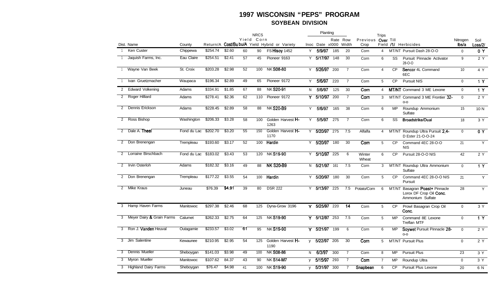#### 1997 WISCONSIN "PEPS" PROGRAM **SOYBEAN DIVISION**

|                |                             |             |          |        |    | <b>NRCS</b> |                                              |    | Planting        |          |                |                    | <b>Trips</b>   |           |                                                                         |              |                 |
|----------------|-----------------------------|-------------|----------|--------|----|-------------|----------------------------------------------|----|-----------------|----------|----------------|--------------------|----------------|-----------|-------------------------------------------------------------------------|--------------|-----------------|
|                |                             |             |          |        |    | Yield Corn  |                                              |    |                 | Rate Row |                | Previous Over Till |                |           |                                                                         | Nitrogen     | Soil            |
|                | Dist. Name                  | County      |          |        |    |             | Return/A Cost/Bubu/A Yield Hybrid or Variety |    | Inoc Date xI000 |          | Width          | Crop               |                |           | Field /1/ Herbicides                                                    | lbs/a        | Loss/2/         |
|                | Ken Custer                  | Chippewa    | \$254.74 | \$2.60 | 60 | 90          | <b>FS Hisov 1452</b>                         | Y  | 5/9/97          | 185      | 20             | Corn               | 4              |           | MT/NT Pursuit Dash 28-O-O                                               | $\Omega$     | 0 Y             |
|                | Jaquish Farms, Inc.         | Eau Claire  | \$254.51 | \$2.41 | 57 | 45          | Pioneer 9163                                 | Y  | 5/17/97 148     |          | 30             | Corn               | 6              | SS        | Pursuit Pinnacle Activator<br>28-O-O                                    | 9            | 2Y              |
|                | Wayne Van Beek              | St. Croix   | \$203.28 | \$2.98 | 52 | 100         | <b>NK S08-80</b>                             |    | Y 5/26/97       | 200      | $\overline{7}$ | Corn               | $\overline{4}$ | <b>CP</b> | Sencor 4L Command<br>6EC                                                | 10           | 4 Y             |
|                | Ivan Gruetzmacher           | Waupaca     | \$196.34 | \$2.89 | 49 | 65          | Pioneer 9172                                 | Y. | 5/6/97          | 220      | $\overline{7}$ | Corn               | 5              | <b>CP</b> | <b>Pursuit NIS</b>                                                      | $\Omega$     | $\overline{1Y}$ |
| $\mathbf{2}$   | <b>Edward Volkening</b>     | Adams       | \$334.91 | \$1.85 | 67 | 88          | <b>NK S20-91</b>                             | N. | 5/6/97          | 125      | 30             | Corn               | 4              |           | MT/NT Command 3 ME Lexone                                               | $\mathbf 0$  | 1 Y             |
| $\overline{2}$ | Roger Hilliard              | Adams       | \$278.41 | \$2.36 | 62 | 110         | Pioneer 9172                                 |    | Y 5/10/97       | 200      | $\overline{7}$ | Corn               | 3              |           | MT/NT Command 3 ME Frontier 32-<br>$O-O$                                | $\mathbf 0$  | 2 Y             |
| 2              | Dennis Erickson             | Adams       | \$228.45 | \$2.89 | 58 | 88          | <b>NK S20-B9</b>                             | Y  | 5/6/97          | 165      | 38             | Corn               | 6              | <b>MP</b> | Roundup Ammonium<br>Sulfate                                             | 15           | 10 N            |
| $\overline{2}$ | Ross Bishop                 | Washington  | \$206.33 | \$3.28 | 58 | 100         | Golden Harvest H-<br>1263                    | Y  | 5/5/97          | 275      | $\overline{7}$ | Corn               | 6              | SS        | <b>Broadstrike/Dual</b>                                                 | 18           | 3 Y             |
| 2              | Dale A. Theel               | Fond du Lac | \$202.70 | \$3.20 | 55 | 150         | Golden Harvest H-<br>1170                    |    | Y 5/20/97 275   |          | 7.5            | Alfalfa            | 4              |           | MT/NT Roundup Ultra Pursuit 2.4-<br>D Ester 21-O-O-24                   | $\mathbf{0}$ | 0Y              |
| $\overline{2}$ | Don Brenengan               | Trempleau   | \$193.60 | \$3.17 | 52 | 100         | Hardin                                       | Y  | 5/20/97         | 180      | 30             | Corn               | 5              | <b>CP</b> | Command 4EC 28-O-O<br><b>NIS</b>                                        | 21           | Y               |
| $\overline{2}$ | Lorraine Birschbach         | Fond du Lac | \$183.02 | \$3.43 | 53 | 120         | <b>NKS19-90</b>                              |    | Y 5/10/97       | 225      | 6              | Winter<br>Wheat    | 6              | <b>CP</b> | Pursuit 28-O-O NIS                                                      | 42           | 2Y              |
| $\overline{2}$ | Irvin Osterloh              | Adams       | \$182.32 | \$3.16 | 49 | 88          | <b>NK S20-B9</b>                             | N. | 5/21/97         | 161      | 7.5            | Corn               | 3              | MT/NT     | Roundup Ultra Ammonium<br>Sulfate                                       | $\Omega$     | 1Y              |
| 2              | Don Brenengan               | Trempleau   | \$177.22 | \$3.55 | 54 | 100         | Hardin                                       | Y  | 5/20/97         | 180      | 30             | Corn               | 5              | <b>CP</b> | Command 4EC 28-O-O NIS<br>Pursuit                                       | 21           | Y               |
|                | 2 Mike Kraus                | Juneau      | \$76.39  | \$4.91 | 39 | 80          | <b>DSR 222</b>                               |    | $Y$ 5/13/97     | 225      | 7.5            | Potato/Corn        | 6              | MT/NT     | Basagran Poast+ Pinnacle<br>Lorox DF Crop Oil Conc.<br>Ammonium Sulfate | 28           | Y               |
|                | 3 Hamp Haven Farms          | Manitowoc   | \$297.38 | \$2.46 | 68 | 125         | Dyna-Grow 3196                               | Y. | 5/25/97         | 220      | 14             | Corn               | 5              | <b>CP</b> | Prowl Basagran Crop Oil<br>Conc.                                        | $\mathbf 0$  | 3 Y             |
|                | 3 Meyer Dairy & Grain Farms | Calumet     | \$262.33 | \$2.75 | 64 | 125         | <b>NKS19-90</b>                              |    | Y 5/12/97       | 253      | 7.5            | Corn               | 5              | <b>MP</b> | Command 8E Lexone<br><b>Treflan MTF</b>                                 | $\mathbf 0$  | $\overline{1}$  |
| 3              | Ron J. Vanden Heuval        | Outagamie   | \$233.57 | \$3.02 | 61 | 95          | <b>NK S19-90</b>                             |    | Y 5/21/97 199   |          | 6              | Corn               | 6              | <b>MP</b> | Soywet Pursuit Pinnacle 28-<br>O-O                                      | $\mathbf 0$  | 2Y              |
| 3              | Jim Salentine               | Kewaunee    | \$210.95 | \$2.95 | 54 | 125         | Golden Harvest H-<br>1190                    |    | $v$ 5/22/97     | 205      | 30             | Corn               | 5              |           | <b>MT/NT Pursuit Plus</b>                                               | $\Omega$     | 2 Y             |
| 3              | Dennis Mueller              | Sheboygan   | \$141.03 | \$3.98 | 49 | 100         | <b>NK S08-86</b>                             | N. | 6/3/97          | 300      | $\overline{7}$ | Corn               | 8              | <b>MP</b> | <b>Pursuit Plus</b>                                                     | 23           | 3 Y             |
|                | 3 Myron Mueller             | Manitowoc   | \$107.62 | 84.37  | 43 | 90          | <b>NK S14-M7</b>                             | V  | 5/15/97         | 293      | $\overline{7}$ | Com                | $\overline{7}$ | MP        | Roundup Ultra                                                           | $\mathbf 0$  | 3 Y             |
|                | 3 Highland Dairy Farms      | Sheboygan   | \$76.47  | \$4.98 | 41 |             | 100 NK S19-90                                |    | v 5/31/97 300   |          | $\overline{7}$ | Snapbean           | 6              | <b>CP</b> | <b>Pursuit Plus Lexone</b>                                              | 20           | 6 N             |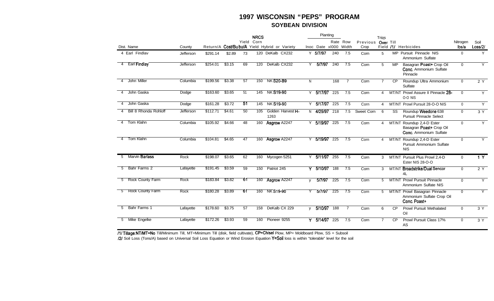#### **1997 WISCONSIN "PEPS" PROGRAM SOYBEAN DIVISION**

|             |                       |           |          |        |     | <b>NRCS</b> |                                              |          | Planting              |     |                |                    | Trips          |           |                                                                                 |                |                |
|-------------|-----------------------|-----------|----------|--------|-----|-------------|----------------------------------------------|----------|-----------------------|-----|----------------|--------------------|----------------|-----------|---------------------------------------------------------------------------------|----------------|----------------|
|             |                       |           |          |        |     | Yield Corn  |                                              |          |                       |     | Rate Row       | Previous Over Till |                |           |                                                                                 | Nitrogen       | Soil           |
|             | Dist. Name            | County    |          |        |     |             | Return/A Cost/Bubu/A Yield Hybrid or Variety |          | Inoc Date xI000 Width |     |                | Crop               |                |           | Field /1/ Herbicides                                                            | lbs/a          | Loss/2/        |
|             | 4 Earl Findlav        | Jefferson | \$291.14 | \$2.89 | 73  |             | 120 DeKalb CX232                             |          | Y 5/7/97              | 240 | 7.5            | Corn               | 5              |           | MP Pursuit Pinnacle NIS<br>Ammonium Sulfate                                     | $\overline{0}$ | Y              |
| 4           | <b>Earl Findlay</b>   | Jefferson | \$254.01 | \$3.15 | 69  | 120         | DeKalb CX232                                 | Y.       | 5/7/97                | 240 | 7.5            | Corn               | 5              | <b>MP</b> | Basagran Poast+ Crop Oil<br><b>Conc.</b> Ammonium Sulfate<br>Pinnacle           | $\Omega$       | Y              |
| 4           | John Miller           | Columbia  | \$199.56 | \$3.38 | 57  |             | 150 NK S20-B9                                | N.       |                       | 168 | $\overline{7}$ | Corn               | $\overline{7}$ | <b>CP</b> | Roundup Ultra Ammonium<br>Sulfate                                               | $\mathbf 0$    | 2 Y            |
| 4           | John Gaska            | Dodge     | \$163.60 | \$3.65 | 51  | 145         | <b>NK S19-90</b>                             |          | Y 5/17/97             | 225 | 7.5            | Corn               | 4              |           | MT/NT Prowl Assure II Pinnacle 28-<br>O-O NIS                                   | $\mathbf{0}$   | Y              |
|             | John Gaska            | Dodge     | \$161.28 | \$3.72 | 51  |             | 145 NK S19-90                                | Y        | 5/17/97               | 225 | 7.5            | Corn               | 4              |           | MT/NT Prowl Pursuit 28-O-O NIS                                                  | $\mathbf{0}$   | Y              |
|             | Bill 8 Rhonda Rohloff | Jefferson | \$112.71 | \$4.61 | 50  | 105         | Golden Harvest H-<br>1263                    |          | N 4/29/97             | 218 | 7.5            | Sweet Corn         | 6              | SS        | Roundup Weedone 638<br><b>Pursuit Pinnacle Select</b>                           | $\Omega$       | 3 Y            |
| 4           | Tom Klahn             | Columbia  | \$105.92 | \$4.66 | 48  |             | 160 Asgrow A2247                             | Y        | 5/19/97               | 225 | 7.5            | Corn               | 4              |           | MT/NT Roundup 2,4-D Ester<br>Basagran Poast+ Crop Oil<br>Conc. Ammonium Sulfate | $\mathbf{0}$   | Y.             |
|             | Tom Klahn             | Columbia  | \$104.81 | \$4.65 | 47  |             | 160 Asgrow A2247                             |          | Y 5/19/97             | 225 | 7.5            | Corn               | 4              |           | MT/NT Roundup 2,4-D Ester<br>Pursuit Ammonium Sulfate<br><b>NIS</b>             | $\Omega$       | Y              |
| $5^{\circ}$ | Marvin Barlass        | Rock      | \$198.07 | \$3.65 | 62  |             | 160 Mycogen 5251                             |          | Y 5/11/97 255         |     | 7.5            | Corn               | 3              |           | MT/NT Pursuit Plus Prowl 2.4-D<br>Ester NIS 28-O-O                              | $\Omega$       | 1Y             |
|             | Bahr Farms 2          | Lafayette | \$191.45 | \$3.59 | 59  | 150         | Patriot 245                                  |          | $Y$ 5/10/97           | 188 | 7.5            | Corn               | 3              |           | MT/NT Broadstrike/Dual Sencor<br>4L                                             | $\mathbf{0}$   | 2Y             |
| 5           | Rock County Farm      | Rock      | \$183.84 | \$3.82 | ั61 |             | 160 Asgrow A2247                             | <b>V</b> | 5/7/97                | 225 | 7.5            | Corn               | 5              |           | MT/NT Prowl Pursuit Pinnacle<br>Ammonium Sulfate NIS                            | $\mathbf{0}$   | $\overline{Y}$ |
|             | Rock County Farm      | Rock      | \$180.28 | \$3.89 | -61 |             | 160 NK S19-90                                | Y        | 5/7/97                | 225 | 7.5            | Corn               | 5              |           | MT/NT Prowl Basagran Pinnacle<br>Ammonium Sulfate Crop Oil<br>Conc. Poast+      | $\Omega$       | Y              |
| 5           | Bahr Farms 1          | Lafayette | \$178.60 | \$3.75 | 57  | 158         | DeKalb CX 229                                |          | y 5/10/97 188         |     | $\overline{7}$ | Corn               | 6              | <b>CP</b> | <b>Prowl Pursuit Methalated</b><br>Oil                                          | $\Omega$       | 3Y             |
| 5           | Mike Engelke          | Lafayette | \$172.26 | \$3.93 | 59  | 160         | Pioneer 9255                                 |          | Y 5/14/97             | 225 | 7.5            | Corn               | $\overline{7}$ | <b>CP</b> | Prowl Pursuit Class 17%<br><b>AS</b>                                            | $\Omega$       | 3 Y            |

<sup>111</sup> Tillage: NT/MT=No Till/Minimum Till, MT=Minimum Till (disk, field cultivate), CP=Chisel Plow, MP= Moldboard Plow, SS = Subsoil

/2/ Soil Loss (Tons/A) based on Universal Soil Loss Equation or Wind Erosion Equation Y=Soil loss is within "tolerable" level for the soil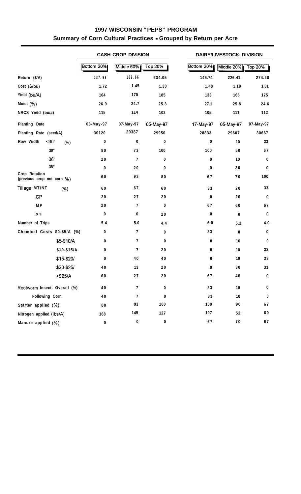### **1997 WISCONSIN "PEPS" PROGRAM Summary of Corn Cultural Practices - Grouped by Return per Acre**

|                                             |            | <b>CASH CROP DIVISION</b> |           |            | DAIRY/LIVESTOCK DIVISION |                |  |  |  |  |
|---------------------------------------------|------------|---------------------------|-----------|------------|--------------------------|----------------|--|--|--|--|
|                                             | Bottom 20% | Middle 60%                | Top 20%   | Bottom 20% | Middle 20%               | <b>Top 20%</b> |  |  |  |  |
| Return (\$/A)                               | 137.93     | 189.66                    | 234.05    | 145.74     | 226.41                   | 274.28         |  |  |  |  |
| Cost (\$/bu)                                | 1.72       | 1.45                      | 1.30      | 1.48       | 1.19                     | 1.01           |  |  |  |  |
| Yield (bu/A)                                | 164        | 170                       | 185       | 133        | 166                      | 175            |  |  |  |  |
| Moist (%)                                   | 26.9       | 24.7                      | 25.3      | 27.1       | 25.8                     | 24.6           |  |  |  |  |
| NRCS Yield (bu/a)                           | 115        | 114                       | 102       | 105        | 111                      | 112            |  |  |  |  |
| Planting Date                               | 03-May-97  | 07-May-97                 | 05-May-97 | 17-May-97  | 05-May-97                | 07-May-97      |  |  |  |  |
| Planting Rate (seed/A)                      | 30120      | 29387                     | 29950     | 28833      | 29607                    | 30667          |  |  |  |  |
| $30$<br>Row Width<br>(%)                    | 0          | 0                         | 0         | 0          | 10                       | 33             |  |  |  |  |
| $30^{\prime\prime}$                         | 80         | 73                        | 100       | 100        | 50                       | 67             |  |  |  |  |
| 36"                                         | 20         | 7                         | 0         | 0          | 10                       | 0              |  |  |  |  |
| 38''                                        | 0          | 20                        | 0         | 0          | 30                       | 0              |  |  |  |  |
| Crop Rotation<br>(previous crop not corn %) | 60         | 93                        | 80        | 67         | 70                       | 100            |  |  |  |  |
| Tillage MT/NT<br>(%)                        | 60         | 67                        | 60        | 33         | 20                       | 33             |  |  |  |  |
| CP                                          | 20         | 27                        | $20\,$    | 0          | 20                       | 0              |  |  |  |  |
| <b>MP</b>                                   | 20         | 7                         | 0         | 67         | 60                       | 67             |  |  |  |  |
| s s                                         | $\pmb{0}$  | $\pmb{0}$                 | $20\,$    | 0          | $\pmb{0}$                | $\bf{0}$       |  |  |  |  |
| Number of Trips                             | 5.4        | 5.0                       | 4.4       | $6.0\,$    | 5.2                      | $4.0$          |  |  |  |  |
| Chemical Costs \$0-\$5/A (%)                | 0          | $\overline{7}$            | 0         | 33         | 0                        | 0              |  |  |  |  |
| \$5-\$10/A                                  | 0          | $\overline{1}$            | 0         | 0          | 10                       | 0              |  |  |  |  |
| \$10-\$15/A                                 | 0          | 7                         | 20        | 0          | $10$                     | 33             |  |  |  |  |
| \$15-\$20/                                  | 0          | 40                        | 40        | 0          | 10                       | 33             |  |  |  |  |
| \$20-\$25/                                  | 40         | 13                        | 20        | 0          | 30                       | 33             |  |  |  |  |
| $> $25/A$                                   | 60         | 27                        | $20\,$    | 67         | 40                       | $\pmb{0}$      |  |  |  |  |
| Rootworm Insect. Overall (%)                | 40         | $\overline{7}$            | $\pmb{0}$ | 33         | $10\,$                   | 0              |  |  |  |  |
| Following Corn                              | 40         | $\overline{7}$            | 0         | 33         | 10                       | $\bf{0}$       |  |  |  |  |
| Starter applied (%)                         | ${\bf 80}$ | 93                        | 100       | 100        | 90                       | 67             |  |  |  |  |
| Nitrogen applied (lbs/A)                    | 168        | 145                       | 127       | 107        | 52                       | 60             |  |  |  |  |
| Manure applied (%)                          | $\pmb{0}$  | $\pmb{0}$                 | 0         | $67\,$     | 70                       | 67             |  |  |  |  |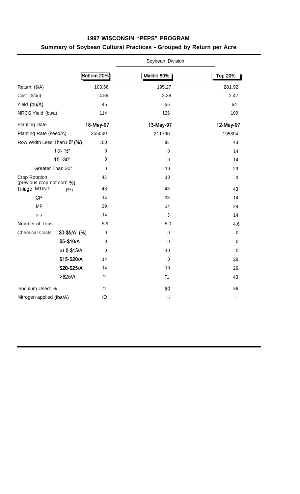|                                                    |               | Bottom 20%   | Middle 60%   | <b>Top 20%</b>           |
|----------------------------------------------------|---------------|--------------|--------------|--------------------------|
| Return (\$/A)                                      |               | 103.56       | 195.27       | 281.92                   |
| Cost (\$/bu)                                       |               | 4.59         | 3.38         | 2.47                     |
| Yield (bu/A)                                       |               | 45           | 56           | 64                       |
| NRCS Yield (bu/a)                                  |               | 114          | 126          | 100                      |
| <b>Planting Date</b>                               |               | 18-May-97    | 13-May-97    | 12-May-97                |
| Planting Rate (seed/A)                             |               | 255000       | 211790       | 195804                   |
| Row Width Less Than1 0" (%)                        |               | 100          | 81           | 43                       |
|                                                    | 10"-15"       | $\pmb{0}$    | $\mathbf 0$  | 14                       |
|                                                    | 15"-30"       | $\pmb{0}$    | $\mathbf{0}$ | 14                       |
| Greater Than 30"                                   |               | $\mathbf{0}$ | 19           | 29                       |
| <b>Crop Rotation</b><br>(previous crop not corn %) |               | 43           | 10           | $\pmb{0}$                |
| Tillage MT/NT                                      | (% )          | 43           | 43           | 43                       |
| CP                                                 |               | 14           | 38           | 14                       |
| <b>MP</b>                                          |               | 29           | 14           | 29                       |
| S S                                                |               | 14           | $\sqrt{5}$   | 14                       |
| Number of Trips                                    |               | 5.9          | 5.0          | 4.6                      |
| <b>Chemical Costs</b>                              | $$0-$5/A$ (%) | $\pmb{0}$    | $\pmb{0}$    | $\pmb{0}$                |
|                                                    | \$5-\$10/A    | $\mathbf{0}$ | $\mathbf 0$  | 0                        |
|                                                    | \$1 0-\$15/A  | 0            | 10           | 0                        |
|                                                    | \$15-\$20/A   | 14           | $\mathbf 0$  | 29                       |
|                                                    | \$20-\$25/A   | 14           | 19           | 29                       |
|                                                    | $> $25/A$     | 71           | 71           | 43                       |
| Inoculum Used: %                                   |               | 71           | 90           | 86                       |
| Nitrogen applied (Ibs/A)                           |               | IO           | 6            | $\overline{\phantom{a}}$ |

## **1997 WISCONSIN "PEPS" PROGRAM Summary of Soybean Cultural Practices - Grouped by Return per Acre**